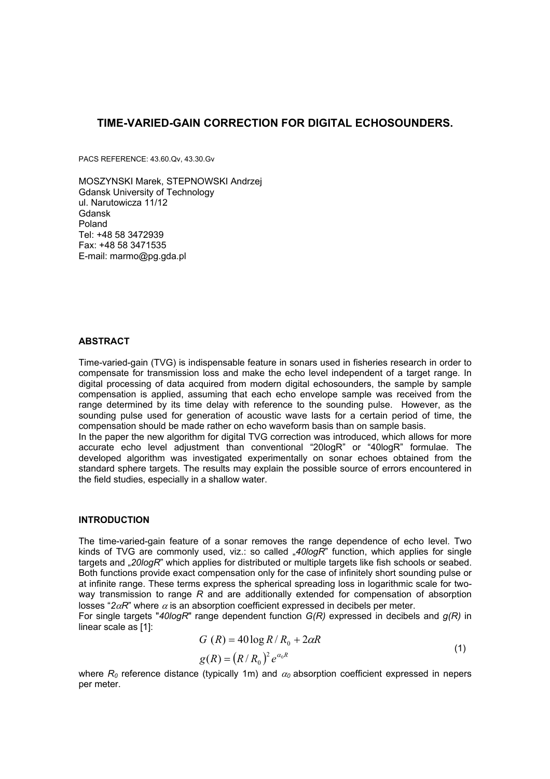# **TIME-VARIED-GAIN CORRECTION FOR DIGITAL ECHOSOUNDERS.**

PACS REFERENCE: 43.60.Qv, 43.30.Gv

MOSZYNSKI Marek, STEPNOWSKI Andrzej Gdansk University of Technology ul. Narutowicza 11/12 Gdansk Poland Tel: +48 58 3472939 Fax: +48 58 3471535 E-mail: marmo@pg.gda.pl

## **ABSTRACT**

Time-varied-gain (TVG) is indispensable feature in sonars used in fisheries research in order to compensate for transmission loss and make the echo level independent of a target range. In digital processing of data acquired from modern digital echosounders, the sample by sample compensation is applied, assuming that each echo envelope sample was received from the range determined by its time delay with reference to the sounding pulse. However, as the sounding pulse used for generation of acoustic wave lasts for a certain period of time, the compensation should be made rather on echo waveform basis than on sample basis.

In the paper the new algorithm for digital TVG correction was introduced, which allows for more accurate echo level adjustment than conventional "20logR" or "40logR" formulae. The developed algorithm was investigated experimentally on sonar echoes obtained from the standard sphere targets. The results may explain the possible source of errors encountered in the field studies, especially in a shallow water.

## **INTRODUCTION**

The time-varied-gain feature of a sonar removes the range dependence of echo level. Two kinds of TVG are commonly used, viz.: so called "40logR<sup>"</sup> function, which applies for single targets and "*20logR*" which applies for distributed or multiple targets like fish schools or seabed. Both functions provide exact compensation only for the case of infinitely short sounding pulse or at infinite range. These terms express the spherical spreading loss in logarithmic scale for twoway transmission to range *R* and are additionally extended for compensation of absorption losses " $2\alpha$ *R*" where  $\alpha$  is an absorption coefficient expressed in decibels per meter.

For single targets "*40logR*" range dependent function *G(R)* expressed in decibels and *g(R)* in linear scale as [1]:

$$
G(R) = 40\log R/R_0 + 2\alpha R
$$
  
\n
$$
\alpha(R) = (R/R_0)^2 \alpha^{a_0R}
$$
\n(1)

$$
g(R) = (R/R_0)^2 e^{\alpha_0 R}
$$

where  $R_0$  reference distance (typically 1m) and  $\alpha_0$  absorption coefficient expressed in nepers per meter.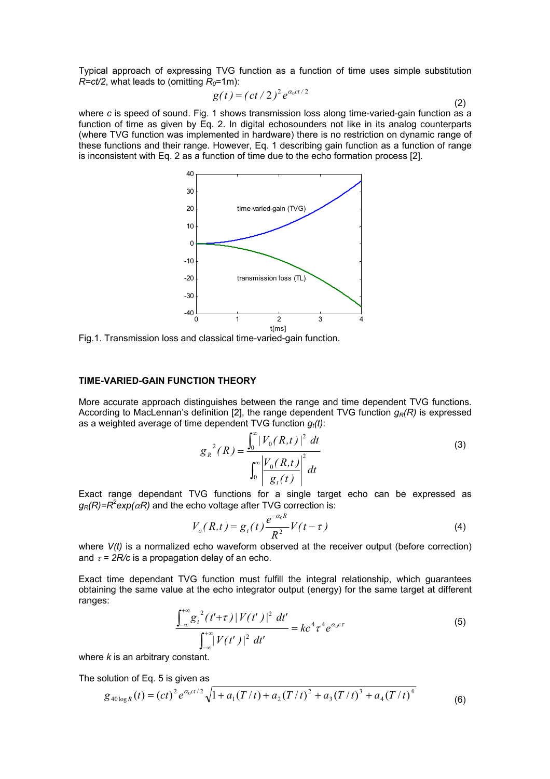Typical approach of expressing TVG function as a function of time uses simple substitution  $R=ct/2$ , what leads to (omitting  $R_0=1$ m):

$$
g(t) = (ct/2)^2 e^{\alpha_0 ct/2}
$$
 (2)

where *c* is speed of sound. Fig. 1 shows transmission loss along time-varied-gain function as a function of time as given by Eq. 2. In digital echosounders not like in its analog counterparts (where TVG function was implemented in hardware) there is no restriction on dynamic range of these functions and their range. However, Eq. 1 describing gain function as a function of range is inconsistent with Eq. 2 as a function of time due to the echo formation process [2].



Fig.1. Transmission loss and classical time-varied-gain function.

## **TIME-VARIED-GAIN FUNCTION THEORY**

More accurate approach distinguishes between the range and time dependent TVG functions. According to MacLennan's definition [2], the range dependent TVG function  $g<sub>P</sub>(R)$  is expressed as a weighted average of time dependent TVG function  $g_t(t)$ :

$$
g_R^2(R) = \frac{\int_0^\infty |V_0(R,t)|^2 dt}{\int_0^\infty \left| \frac{V_0(R,t)}{g_t(t)} \right|^2 dt}
$$
 (3)

Exact range dependant TVG functions for a single target echo can be expressed as  $g_R(R)$ = $R^2$ exp( $\alpha$ R) and the echo voltage after TVG correction is:

$$
V_o(R,t) = g_t(t) \frac{e^{-\alpha_0 R}}{R^2} V(t - \tau)
$$
\n(4)

where *V(t)* is a normalized echo waveform observed at the receiver output (before correction) and  $\tau = 2R/c$  is a propagation delay of an echo.

Exact time dependant TVG function must fulfill the integral relationship, which guarantees obtaining the same value at the echo integrator output (energy) for the same target at different ranges:

$$
\frac{\int_{-\infty}^{+\infty} g_t^2(t'+\tau) |V(t')|^2 dt'}{\int_{-\infty}^{+\infty} |V(t')|^2 dt'} = kc^4 \tau^4 e^{\alpha_0 c \tau}
$$
(5)

where *k* is an arbitrary constant.

The solution of Eq. 5 is given as

$$
g_{40\log R}(t) = (ct)^2 e^{\alpha_0 ct/2} \sqrt{1 + a_1 (T/t) + a_2 (T/t)^2 + a_3 (T/t)^3 + a_4 (T/t)^4}
$$
(6)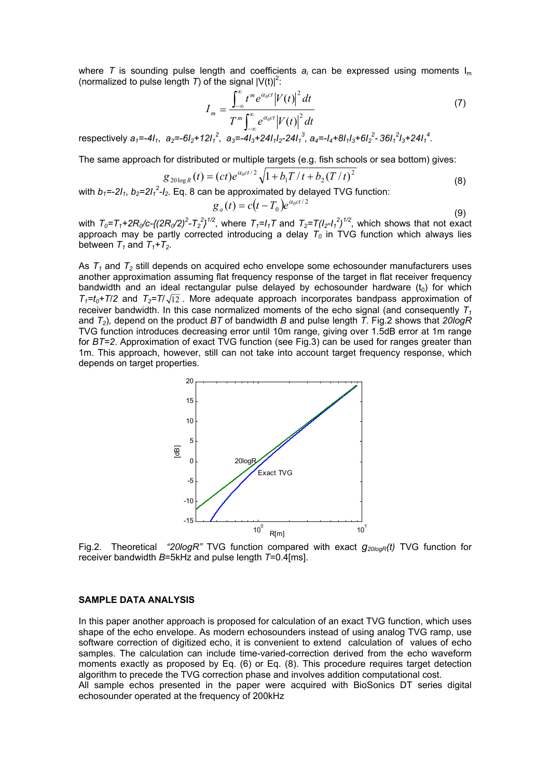where *T* is sounding pulse length and coefficients  $a_i$  can be expressed using moments  $I_m$ (normalized to pulse length *T*) of the signal  $|V(t)|^2$ :

$$
I_{m} = \frac{\int_{-\infty}^{\infty} t^{m} e^{\alpha_{0}ct} |V(t)|^{2} dt}{T^{m} \int_{-\infty}^{\infty} e^{\alpha_{0}ct} |V(t)|^{2} dt}
$$
\n
$$
12I_{1}^{2}, \quad a_{3} = -4I_{3} + 24I_{1}I_{2} - 24I_{1}^{3}, \quad a_{4} = -I_{4} + 8I_{1}I_{3} + 6I_{2}^{2} - 36I_{1}^{2}I_{3} + 24I_{1}^{4}.
$$
\n
$$
(7)
$$

The same approach for distributed or multiple targets (e.g. fish schools or sea bottom) gives:

$$
g_{20\log R}(t) = (ct)e^{\alpha_0 ct/2}\sqrt{1 + b_1 T/t + b_2 (T/t)^2}
$$
\n(8)

with  $b_1$ =-2l<sub>1</sub>,  $b_2$ =2l<sub>1</sub><sup>2</sup>-l<sub>2</sub>. Eq. 8 can be approximated by delayed TVG function:

$$
g_a(t) = c(t - T_0)e^{\alpha_0 ct/2}
$$
\n(9)

with  $T_0 = T_1 + 2R_0/c\frac{(2R_0/2)^2 - T_2^2}{^{1/2}}$ , where  $T_1 = I_1T$  and  $T_2 = T(I_2 - I_1^2)^{1/2}$ , which shows that not exact approach may be partly corrected introducing a delay  $T_0$  in TVG function which always lies between  $T_1$  and  $T_1 + T_2$ .

As  $T_1$  and  $T_2$  still depends on acquired echo envelope some echosounder manufacturers uses another approximation assuming flat frequency response of the target in flat receiver frequency bandwidth and an ideal rectangular pulse delayed by echosounder hardware  $(t_0)$  for which  $T_1=t_0+T_1/2$  and  $T_2=T_1/\sqrt{12}$ . More adequate approach incorporates bandpass approximation of receiver bandwidth. In this case normalized moments of the echo signal (and consequently  $T_1$ and *T2*)*,* depend on the product *BT* of bandwidth *B* and pulse length *T*. Fig.2 shows that *20logR* TVG function introduces decreasing error until 10m range, giving over 1.5dB error at 1m range for *BT=2*. Approximation of exact TVG function (see Fig.3) can be used for ranges greater than 1m. This approach, however, still can not take into account target frequency response, which depends on target properties.



Fig.2. Theoretical *"20logR"* TVG function compared with exact *g20logR(t)* TVG function for receiver bandwidth *B*=5kHz and pulse length *T*=0.4[ms].

#### **SAMPLE DATA ANALYSIS**

respectively  $a_1 = -4I_1$ ,  $a_2 = -6I_2 +$ 

In this paper another approach is proposed for calculation of an exact TVG function, which uses shape of the echo envelope. As modern echosounders instead of using analog TVG ramp, use software correction of digitized echo, it is convenient to extend calculation of values of echo samples. The calculation can include time-varied-correction derived from the echo waveform moments exactly as proposed by Eq. (6) or Eq. (8). This procedure requires target detection algorithm to precede the TVG correction phase and involves addition computational cost. All sample echos presented in the paper were acquired with BioSonics DT series digital echosounder operated at the frequency of 200kHz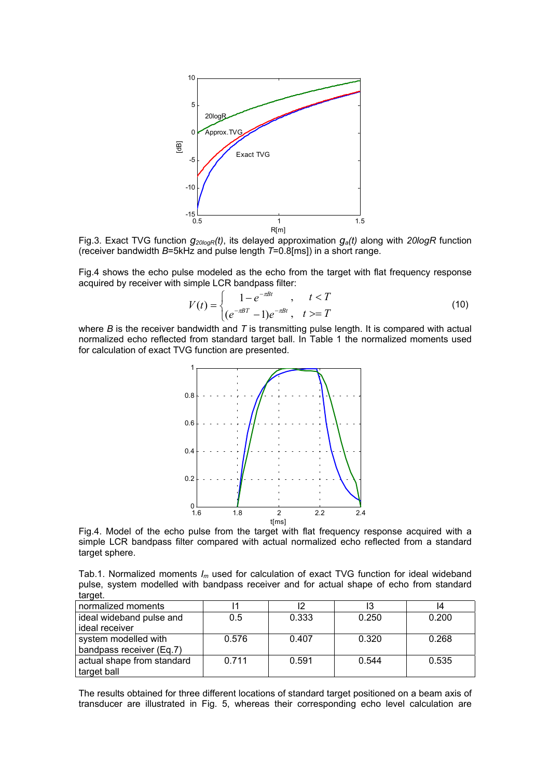

Fig.3. Exact TVG function  $g_{20logR}(t)$ , its delayed approximation  $g_a(t)$  along with 20logR function (receiver bandwidth *B*=5kHz and pulse length *T*=0.8[ms]) in a short range.

Fig.4 shows the echo pulse modeled as the echo from the target with flat frequency response acquired by receiver with simple LCR bandpass filter:

$$
V(t) = \begin{cases} 1 - e^{-\pi B t} & t < T \\ (e^{-\pi B T} - 1)e^{-\pi B t} & t > T \end{cases}
$$
 (10)

where *B* is the receiver bandwidth and *T* is transmitting pulse length. It is compared with actual normalized echo reflected from standard target ball. In Table 1 the normalized moments used for calculation of exact TVG function are presented.



Fig.4. Model of the echo pulse from the target with flat frequency response acquired with a simple LCR bandpass filter compared with actual normalized echo reflected from a standard target sphere.

Tab.1. Normalized moments *Im* used for calculation of exact TVG function for ideal wideband pulse, system modelled with bandpass receiver and for actual shape of echo from standard target.

| normalized moments         |       |       |       | 14    |
|----------------------------|-------|-------|-------|-------|
| ideal wideband pulse and   | 0.5   | 0.333 | 0.250 | 0.200 |
| ideal receiver             |       |       |       |       |
| system modelled with       | 0.576 | 0.407 | 0.320 | 0.268 |
| bandpass receiver (Eq.7)   |       |       |       |       |
| actual shape from standard | 0.711 | 0.591 | 0.544 | 0.535 |
| target ball                |       |       |       |       |

The results obtained for three different locations of standard target positioned on a beam axis of transducer are illustrated in Fig. 5, whereas their corresponding echo level calculation are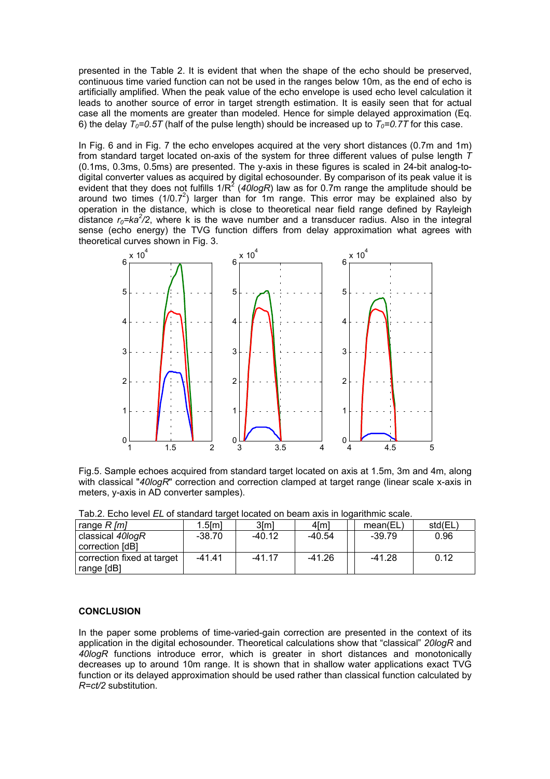presented in the Table 2. It is evident that when the shape of the echo should be preserved, continuous time varied function can not be used in the ranges below 10m, as the end of echo is artificially amplified. When the peak value of the echo envelope is used echo level calculation it leads to another source of error in target strength estimation. It is easily seen that for actual case all the moments are greater than modeled. Hence for simple delayed approximation (Eq. 6) the delay  $T_0=0.5T$  (half of the pulse length) should be increased up to  $T_0=0.7T$  for this case.

In Fig. 6 and in Fig. 7 the echo envelopes acquired at the very short distances (0.7m and 1m) from standard target located on-axis of the system for three different values of pulse length *T* (0.1ms, 0.3ms, 0.5ms) are presented. The y-axis in these figures is scaled in 24-bit analog-todigital converter values as acquired by digital echosounder. By comparison of its peak value it is evident that they does not fulfills  $1/R^2$  (40logR) law as for 0.7m range the amplitude should be around two times (1/0.7<sup>2</sup>) larger than for 1m range. This error may be explained also by operation in the distance, which is close to theoretical near field range defined by Rayleigh distance  $r_0$ =ka<sup>2</sup>/2, where k is the wave number and a transducer radius. Also in the integral sense (echo energy) the TVG function differs from delay approximation what agrees with theoretical curves shown in Fig. 3.



Fig.5. Sample echoes acquired from standard target located on axis at 1.5m, 3m and 4m, along with classical "40logR" correction and correction clamped at target range (linear scale x-axis in meters, y-axis in AD converter samples).

| Tab.2. Luitu iuvui 22 on sidnudi u idruut luudiud on budin akis in luudiniiniu sudiu. |          |          |                 |          |        |  |  |
|---------------------------------------------------------------------------------------|----------|----------|-----------------|----------|--------|--|--|
| range $R$ [m]                                                                         | 1.5lml   | 3ſm1     | 4 <sub>Im</sub> | mean(EL) | std(EL |  |  |
| classical 40logR<br>correction [dB]                                                   | $-38.70$ | $-40.12$ | $-40.54$        | $-39.79$ | 0.96   |  |  |
| correction fixed at target                                                            | $-41.41$ | $-41.17$ | $-41.26$        | $-41.28$ | 0.12   |  |  |
| range [dB]                                                                            |          |          |                 |          |        |  |  |

Tab.2. Echo level *EL* of standard target located on beam axis in logarithmic scale.

## **CONCLUSION**

In the paper some problems of time-varied-gain correction are presented in the context of its application in the digital echosounder. Theoretical calculations show that "classical" *20logR* and *40logR* functions introduce error, which is greater in short distances and monotonically decreases up to around 10m range. It is shown that in shallow water applications exact TVG function or its delayed approximation should be used rather than classical function calculated by *R=ct/2* substitution.